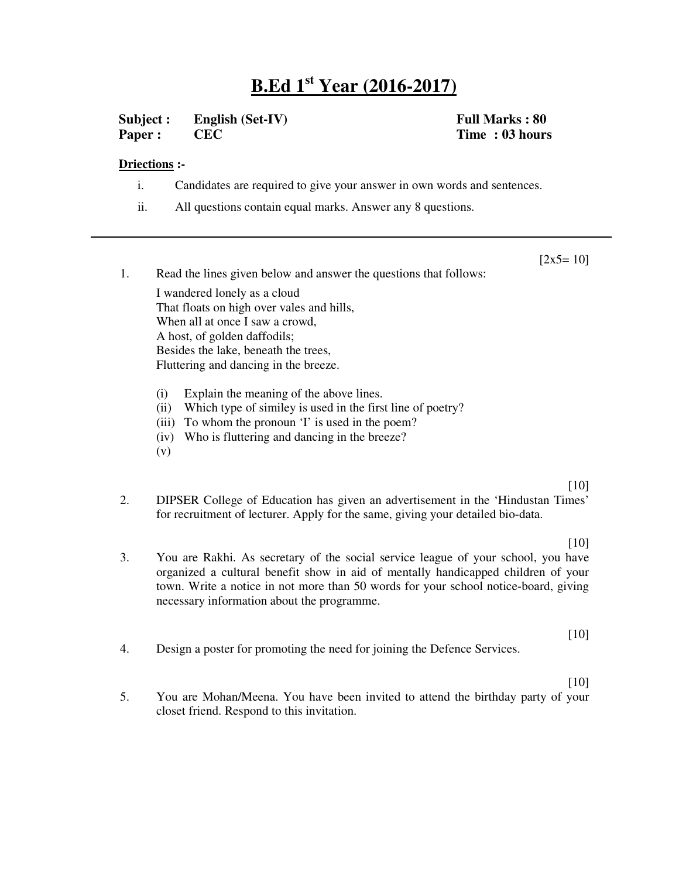## **B.Ed 1 st Year (2016-2017)**

**Subject : English (Set-IV) Full Marks : 80 Paper : CEC Time : 03 hours**

## **Driections :-**

**m**

- i. Candidates are required to give your answer in own words and sentences.
- ii. All questions contain equal marks. Answer any 8 questions.

 $[2x5=10]$ 

1. Read the lines given below and answer the questions that follows: I wandered lonely as a cloud That floats on high over vales and hills, When all at once I saw a crowd, A host, of golden daffodils; Besides the lake, beneath the trees, Fluttering and dancing in the breeze. (i) Explain the meaning of the above lines.

- 
- (ii) Which type of similey is used in the first line of poetry?
- (iii) To whom the pronoun 'I' is used in the poem?
- (iv) Who is fluttering and dancing in the breeze?
- (v)

## [10]

[10]

- 2. DIPSER College of Education has given an advertisement in the 'Hindustan Times' for recruitment of lecturer. Apply for the same, giving your detailed bio-data.
- 3. You are Rakhi. As secretary of the social service league of your school, you have organized a cultural benefit show in aid of mentally handicapped children of your town. Write a notice in not more than 50 words for your school notice-board, giving necessary information about the programme.
- 4. Design a poster for promoting the need for joining the Defence Services.

[10]

[10]

5. You are Mohan/Meena. You have been invited to attend the birthday party of your closet friend. Respond to this invitation.